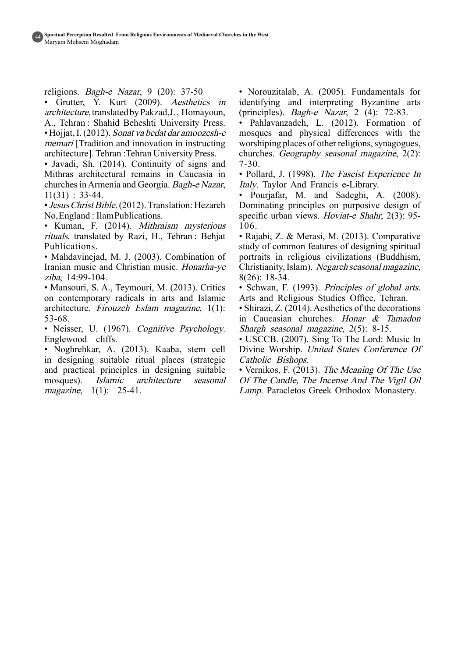religions. *Bagh-e Nazar*,  $9(20)$ : 37-50

• Grutter, Y. Kurt (2009). Aesthetics in architecture, translated by Pakzad, J., Homayoun, A., Tehran: Shahid Beheshti University Press. • Hojiat, I. (2012). Sonat va bedat dar amoozesh-e memari [Tradition and innovation in instructing] architecture]. Tehran: Tehran University Press.

• Javadi, Sh. (2014). Continuity of signs and Mithras architectural remains in Caucasia in churches in Armenia and Georgia. Bagh-e Nazar,  $11(31): 33-44.$ 

• Jesus Christ Bible. (2012). Translation: Hezareh No, England : Ilam Publications.

• Kuman, F. (2014). Mithraism mysterious rituals. translated by Razi, H., Tehran : Behjat .Publications

• Mahdavinejad, M. J. (2003). Combination of Iranian music and Christian music. Honarha-ye ziba, 14:99-104.

• Mansouri, S. A., Teymouri, M. (2013). Critics on contemporary radicals in arts and Islamic architecture. Firouzeh Eslam magazine,  $1(1)$ : 53-68.

• Neisser, U. (1967). Cognitive Psychology. Englewood cliffs.

• Noghrehkar, A. (2013). Kaaba, stem cell in designing suitable ritual places (strategic and practical principles in designing suitable mosques). Islamic architecture seasonal  $magazine, 1(1): 25-41.$ 

• Norouzitalab, A. (2005). Fundamentals for identifying and interpreting Byzantine arts (principles). Bagh-e Nazar, 2 (4):  $72-83$ .

• Pahlavanzadeh, L. (2012). Formation of mosques and physical differences with the worshiping places of other religions, synagogues, churches. Geography seasonal magazine,  $2(2)$ : 7-30.

• Pollard, J. (1998). The Fascist Experience In Italy. Taylor And Francis e-Library.

• Pourjafar, M. and Sadeghi, A.  $(2008)$ . Dominating principles on purposive design of specific urban views. Hoviat-e Shahr, 2(3): 95-106.

• Rajabi, Z. & Merasi, M. (2013). Comparative study of common features of designing spiritual portraits in religious civilizations (Buddhism, Christianity, Islam). Negareh seasonal magazine,  $8(26): 18-34.$ 

• Schwan, F. (1993). Principles of global arts. Arts and Religious Studies Office, Tehran.

• Shirazi, Z. (2014). Aesthetics of the decorations in Caucasian churches. Honar  $\&$  Tamadon Shargh seasonal magazine,  $2(5)$ : 8-15.

• USCCB. (2007). Sing To The Lord: Music In Divine Worship. United States Conference Of Catholic Bishops.

• Vernikos, F. (2013). The Meaning Of The Use Of The Candle. The Incense And The Vigil Oil Lamp. Paracletos Greek Orthodox Monastery.

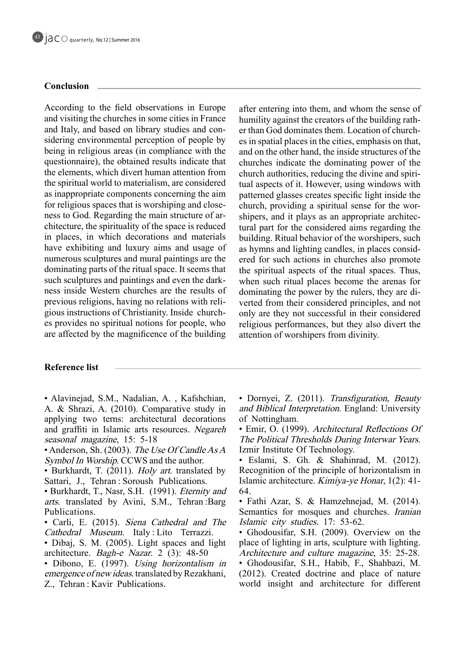# **Conclusion**

According to the field observations in Europe and visiting the churches in some cities in France sidering environmental perception of people by and Italy, and based on library studies and conbeing in religious areas (in compliance with the questionnaire), the obtained results indicate that the elements, which divert human attention from the spiritual world to materialism, are considered as inappropriate components concerning the aim ness to God. Regarding the main structure of architecture, the spirituality of the space is reduced for religious spaces that is worshiping and close-<br>ness to God. Regarding the main structure of arin places, in which decorations and materials have exhibiting and luxury aims and usage of numerous sculptures and mural paintings are the dominating parts of the ritual space. It seems that such sculptures and paintings and even the dark-<br>ness inside Western churches are the results of gious instructions of Christianity. Inside church-<br>es provides no spiritual notions for people, who previous religions, having no relations with religious instructions of Christianity. Inside churchare affected by the magnificence of the building

after entering into them, and whom the sense of er than God dominates them. Location of church-<br>es in spatial places in the cities, emphasis on that, humility against the creators of the building rather than God dominates them. Location of churchhumility against the creators of the building rathand on the other hand, the inside structures of the churches indicate the dominating power of the tual aspects of it. However, using windows with church authorities, reducing the divine and spiripatterned glasses creates specific light inside the tural part for the considered aims regarding the shipers, and it plays as an appropriate architecchurch, providing a spiritual sense for the worbuilding. Ritual behavior of the worshipers, such ered for such actions in churches also promote as hymns and lighting candles, in places considthe spiritual aspects of the ritual spaces. Thus, when such ritual places become the arenas for verted from their considered principles, and not dominating the power by the rulers, they are dionly are they not successful in their considered religious performances, but they also divert the attention of worshipers from divinity.

# **Reference** list

- Alavinejad, S.M., Nadalian, A., Kafshchian, A. & Shrazi, A. (2010). Comparative study in applying two terns: architectural decorations and graffiti in Islamic arts resources. Negareh seasonal magazine,  $15: 5-18$
- Anderson, Sh. (2003). The Use Of Candle As A Symbol In Worship. CCWS and the author.
- Burkhardt, T. (2011). *Holy art* translated by Sattari, J., Tehran : Soroush Publications.
- Burkhardt, T., Nasr, S.H. (1991). *Eternity and* arts. translated by Avini, S.M., Tehran :Barg .Publications
- Carli, E. (2015). Siena Cathedral and The Cathedral Museum. Italy : Lito Terrazzi.
- Dibaj, S. M. (2005). Light spaces and light architecture. Bagh-e Nazar. 2  $(3)$ : 48-50
- Dibono, E. (1997). Using horizontalism in emergence of new ideas. translated by Rezakhani, Z., Tehran : Kavir<sub>Publications.</sub>
- Dornyei, Z. (2011). Transfiguration, Beauty and *Biblical Interpretation*. England: University of Nottingham.
- Emir, O. (1999). Architectural Reflections Of The Political Thresholds During Interwar Years. Izmir Institute Of Technology.
- $\cdot$  Eslami, S. Gh. & Shahinrad, M. (2012). Recognition of the principle of horizontalism in Islamic architecture. *Kimiya-ye Honar*,  $1(2)$ : 41-64.
- Fathi Azar, S. & Hamzehnejad, M. (2014). Semantics for mosques and churches. *Iranian* Islamic city studies. 17: 53-62.
- Ghodousifar, S.H. (2009). Overview on the place of lighting in arts, sculpture with lighting. Architecture and culture magazine, 35: 25-28.
- Ghodousifar, S.H., Habib, F., Shahbazi, M.  $(2012)$ . Created doctrine and place of nature world insight and architecture for different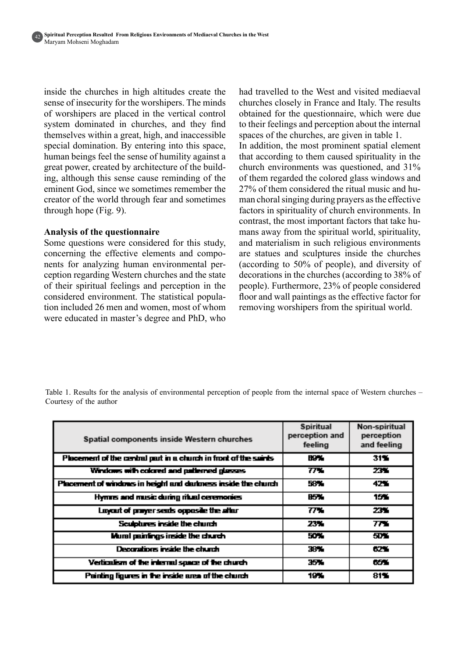inside the churches in high altitudes create the sense of insecurity for the worshipers. The minds of worshipers are placed in the vertical control system dominated in churches, and they find themselves within a great, high, and inaccessible special domination. By entering into this space, human beings feel the sense of humility against a ing, although this sense cause reminding of the great power, created by architecture of the buildeminent God, since we sometimes remember the creator of the world through fear and sometimes through hope  $(Fig. 9)$ .

#### **Analysis of the questionnaire**

Some questions were considered for this study, ception regarding Western churches and the state nents for analyzing human environmental perconcerning the effective elements and compoof their spiritual feelings and perception in the tion included 26 men and women, most of whom considered environment. The statistical populawere educated in master's degree and PhD, who had travelled to the West and visited mediaeval churches closely in France and Italy. The results obtained for the questionnaire, which were due to their feelings and perception about the internal spaces of the churches, are given in table 1. In addition, the most prominent spatial element that according to them caused spirituality in the church environments was questioned, and  $31\%$ of them regarded the colored glass windows and man choral singing during prayers as the effective 27% of them considered the ritual music and hufactors in spirituality of church environments. In mans away from the spiritual world, spirituality, contrast, the most important factors that take huand materialism in such religious environments are statues and sculptures inside the churches (according to  $50\%$  of people), and diversity of decorations in the churches (according to  $38\%$  of people). Furthermore, 23% of people considered floor and wall paintings as the effective factor for removing worshipers from the spiritual world.

Table 1. Results for the analysis of environmental perception of people from the internal space of Western churches – Courtesy of the author

| Spatial components inside Western churches                       | <b>Spiritual</b><br>perception and<br>feeling | Non-spiritual<br>perception<br>and feeling |
|------------------------------------------------------------------|-----------------------------------------------|--------------------------------------------|
| Placement of the central part in a church in front of the saints | 89 X                                          | 31%                                        |
| Windows with colored and patterned glasses                       | $\overline{77}$                               | 23.1                                       |
| Placement of windows in height and darkness inside the church    | 58%                                           | 42%                                        |
| Hymns and music during ritual ceremonies                         | B5 .                                          | 15%                                        |
| Layout of prayer seats opposite the after                        | 77.                                           | 23%                                        |
| Sculptures inside the church                                     | 23%                                           | 77.                                        |
| Mural paintings inside the church                                | 50%                                           | 5DY.                                       |
| Deconitors inside the church                                     | 38%                                           | 62 Y                                       |
| Verticatism of the internal space of the church                  | 35%                                           | CO.                                        |
| Painting figures in the inside area of the church                | 19%                                           | 81%                                        |

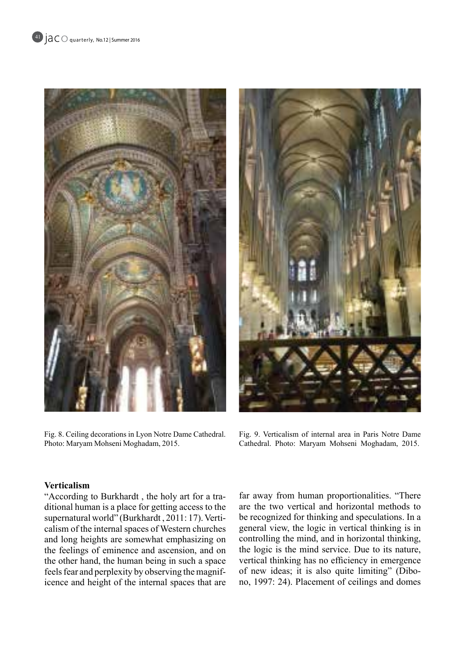

Fig. 8. Ceiling decorations in Lyon Notre Dame Cathedral. Photo: Maryam Mohseni Moghadam, 2015.



Fig. 9. Verticalism of internal area in Paris Notre Dame Cathedral. Photo: Maryam Mohseni Moghadam, 2015.

### **Verticalism**

ditional human is a place for getting access to the "According to Burkhardt, the holy art for a tracalism of the internal spaces of Western churches supernatural world" (Burkhardt, 2011: 17). Vertiand long heights are somewhat emphasizing on the feelings of eminence and ascension, and on the other hand, the human being in such a space icence and height of the internal spaces that are feels fear and perplexity by observing the magniffar away from human proportionalities. "There are the two vertical and horizontal methods to be recognized for thinking and speculations. In a general view, the logic in vertical thinking is in controlling the mind, and in horizontal thinking, the logic is the mind service. Due to its nature, vertical thinking has no efficiency in emergence no, 1997: 24). Placement of ceilings and domes of new ideas; it is also quite limiting" (Dibo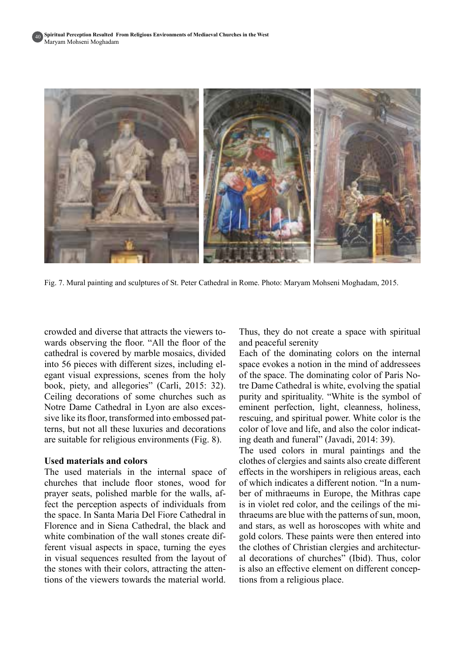401



Fig. 7. Mural painting and sculptures of St. Peter Cathedral in Rome. Photo: Maryam Mohseni Moghadam, 2015.

wards observing the floor. "All the floor of the crowded and diverse that attracts the viewers tocathedral is covered by marble mosaics, divided egant visual expressions, scenes from the holy into 56 pieces with different sizes, including elbook, piety, and allegories" (Carli, 2015: 32). Ceiling decorations of some churches such as sive like its floor, transformed into embossed pat-<br>terns, but not all these luxuries and decorations Notre Dame Cathedral in Lyon are also excessive like its floor, transformed into embossed pat-Notre Dame Cathedral in Lyon are also excesare suitable for religious environments  $(Fig. 8)$ .

#### **Lised materials and colors**

The used materials in the internal space of churches that include floor stones, wood for prayer seats, polished marble for the walls, affect the perception aspects of individuals from the space. In Santa Maria Del Fiore Cathedral in Florence and in Siena Cathedral, the black and ferent visual aspects in space, turning the eyes white combination of the wall stones create difin visual sequences resulted from the layout of tions of the viewers towards the material world. the stones with their colors, attracting the atten-

Thus, they do not create a space with spiritual and peaceful serenity

Each of the dominating colors on the internal space evokes a notion in the mind of addressees tre Dame Cathedral is white, evolving the spatial of the space. The dominating color of Paris Nopurity and spirituality. "White is the symbol of eminent perfection, light, cleanness, holiness, rescuing, and spiritual power. White color is the color of love and life, and also the color indicating death and funeral" (Javadi, 2014: 39).

The used colors in mural paintings and the clothes of clergies and saints also create different effects in the worshipers in religious areas, each ber of mithraeums in Europe, the Mithras cape of which indicates a different notion. "In a numthraeums are blue with the patterns of sun, moon, is in violet red color, and the ceilings of the miand stars, as well as horoscopes with white and gold colors. These paints were then entered into al decorations of churches" (Ibid). Thus, color the clothes of Christian clergies and architecturis also an effective element on different conceptions from a religious place.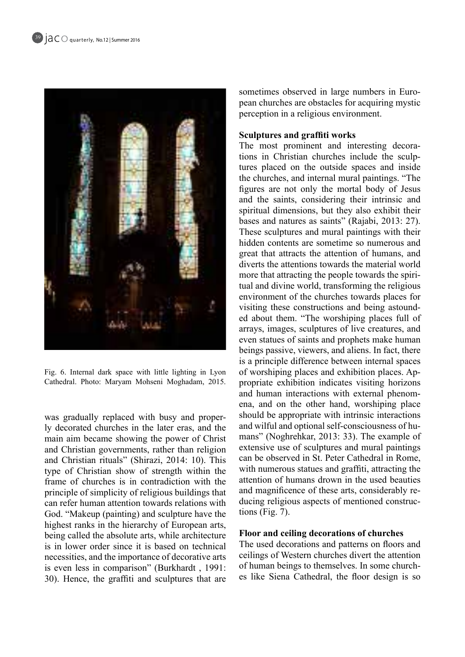

Fig. 6. Internal dark space with little lighting in Lyon Cathedral. Photo: Maryam Mohseni Moghadam, 2015.

ly decorated churches in the later eras, and the was gradually replaced with busy and propermain aim became showing the power of Christ and Christian governments, rather than religion and Christian rituals" (Shirazi, 2014: 10). This type of Christian show of strength within the frame of churches is in contradiction with the principle of simplicity of religious buildings that can refer human attention towards relations with God. "Makeup (painting) and sculpture have the highest ranks in the hierarchy of European arts, being called the absolute arts, while architecture is in lower order since it is based on technical necessities, and the importance of decorative arts is even less in comparison" (Burkhardt, 1991: 30). Hence, the graffiti and sculptures that are pean churches are obstacles for acquiring mystic sometimes observed in large numbers in Europerception in a religious environment.

#### **Sculptures and graffiti works**

tures placed on the outside spaces and inside tions in Christian churches include the sculp-The most prominent and interesting decorathe churches, and internal mural paintings. "The figures are not only the mortal body of Jesus and the saints, considering their intrinsic and spiritual dimensions, but they also exhibit their bases and natures as saints" (Rajabi, 2013: 27). These sculptures and mural paintings with their hidden contents are sometime so numerous and great that attracts the attention of humans, and diverts the attentions towards the material world tual and divine world, transforming the religious more that attracting the people towards the spirienvironment of the churches towards places for ed about them. "The worshiping places full of visiting these constructions and being astoundarrays, images, sculptures of live creatures, and even statues of saints and prophets make human beings passive, viewers, and aliens. In fact, there is a principle difference between internal spaces propriate exhibition indicates visiting horizons of worshiping places and exhibition places. Apena, and on the other hand, worshiping place and human interactions with external phenomshould be appropriate with intrinsic interactions mans" (Noghrehkar, 2013: 33). The example of and wilful and optional self-consciousness of huextensive use of sculptures and mural paintings can be observed in St. Peter Cathedral in Rome. with numerous statues and graffiti, attracting the attention of humans drown in the used beauties ducing religious aspects of mentioned constructions (Fig. 7). and magnificence of these arts, considerably reducing religious aspects of mentioned construcand magnificence of these arts, considerably re-

#### **Floor and ceiling decorations of churches**

The used decorations and patterns on floors and ceilings of Western churches divert the attention es like Siena Cathedral, the floor design is so of human beings to themselves. In some church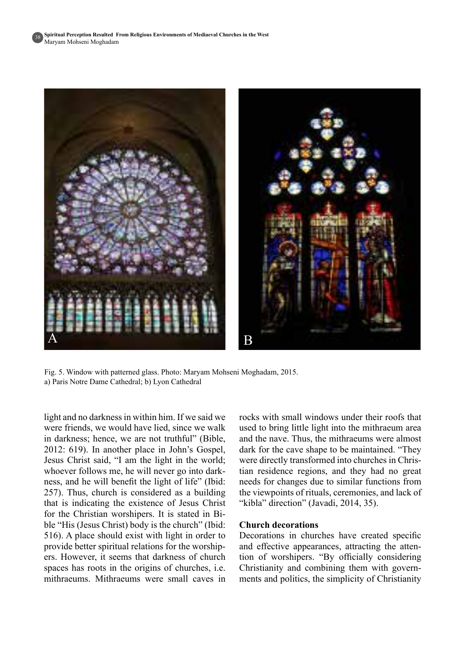381



Fig. 5. Window with patterned glass. Photo: Maryam Mohseni Moghadam, 2015. a) Paris Notre Dame Cathedral; b) Lyon Cathedral

light and no darkness in within him. If we said we were friends, we would have lied, since we walk in darkness; hence, we are not truthful" (Bible,  $2012$ : 619). In another place in John's Gospel, Jesus Christ said, "I am the light in the world; whoever follows me, he will never go into dark-<br>ness, and he will benefit the light of life" (Ibid:  $257$ ). Thus, church is considered as a building that is indicating the existence of Jesus Christ ble "His (Jesus Christ) body is the church" (Ibid: for the Christian worshipers. It is stated in Bi- $516$ ). A place should exist with light in order to provide better spiritual relations for the worship-<br>ers. However, it seems that darkness of church spaces has roots in the origins of churches, *i.e.* mithraeums. Mithraeums were small caves in

rocks with small windows under their roofs that used to bring little light into the mithraeum area and the nave. Thus, the mithraeums were almost dark for the cave shape to be maintained. "They tian residence regions, and they had no great were directly transformed into churches in Chrisneeds for changes due to similar functions from the viewpoints of rituals, ceremonies, and lack of "kibla" direction" (Javadi, 2014, 35).

#### **Church decorations**

Decorations in churches have created specific tion of worshipers. "By officially considering and effective appearances, attracting the attenments and politics, the simplicity of Christianity Christianity and combining them with govern-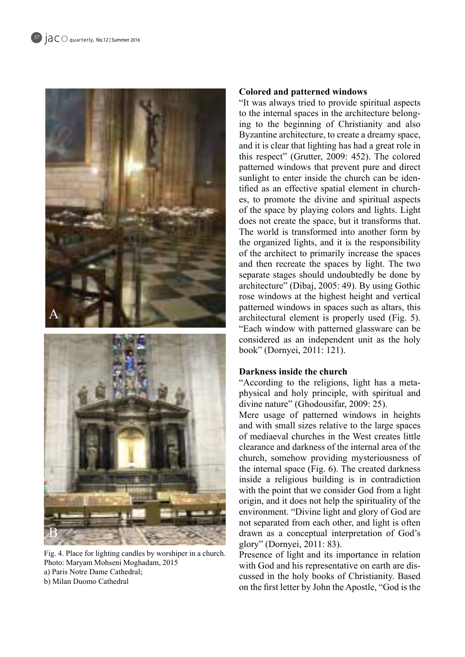

Fig. 4. Place for lighting candles by worshiper in a church. Photo: Maryam Mohseni Moghadam, 2015 a) Paris Notre Dame Cathedral; b) Milan Duomo Cathedral

# **Colored and patterned windows**

"It was always tried to provide spiritual aspects" ing to the beginning of Christianity and also to the internal spaces in the architecture belong-Byzantine architecture, to create a dreamy space, and it is clear that lighting has had a great role in this respect" (Grutter, 2009: 452). The colored patterned windows that prevent pure and direct tified as an effective spatial element in churches, to promote the divine and spiritual aspects sunlight to enter inside the church can be identified as an effective spatial element in churchsunlight to enter inside the church can be idenof the space by playing colors and lights. Light does not create the space, but it transforms that. The world is transformed into another form by the organized lights, and it is the responsibility of the architect to primarily increase the spaces and then recreate the spaces by light. The two separate stages should undoubtedly be done by architecture" (Dibaj, 2005: 49). By using Gothic rose windows at the highest height and vertical patterned windows in spaces such as altars, this architectural element is properly used (Fig. 5). "Each window with patterned glassware can be considered as an independent unit as the holy book" (Dornyei, 2011: 121).

### **Darkness inside the church**

physical and holy principle, with spiritual and "According to the religions, light has a metadivine nature" (Ghodousifar, 2009: 25).

Mere usage of patterned windows in heights and with small sizes relative to the large spaces of mediaeval churches in the West creates little clearance and darkness of the internal area of the church, somehow providing mysteriousness of the internal space  $(Fig. 6)$ . The created darkness inside a religious building is in contradiction with the point that we consider God from a light origin, and it does not help the spirituality of the environment. "Divine light and glory of God are not separated from each other, and light is often drawn as a conceptual interpretation of God's glory" (Dornyei,  $2011: 83$ ).

Presence of light and its importance in relation cussed in the holy books of Christianity. Based with God and his representative on earth are dison the first letter by John the Apostle, "God is the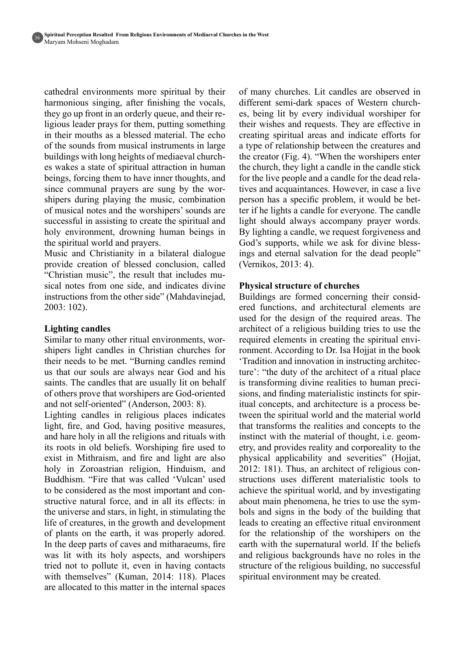cathedral environments more spiritual by their harmonious singing, after finishing the vocals, they go up front in an orderly queue, and their re-<br>ligious-leader prays for them, putting something in their mouths as a blessed material. The echo of the sounds from musical instruments in large es wakes a state of spiritual attraction in human buildings with long heights of mediaeval churchbeings, forcing them to have inner thoughts, and shipers during playing the music, combination since communal prayers are sung by the worof musical notes and the worshipers' sounds are successful in assisting to create the spiritual and holy environment, drowning human beings in the spiritual world and prayers.

Music and Christianity in a bilateral dialogue provide creation of blessed conclusion, called "Christian music", the result that includes musical notes from one side, and indicates divine instructions from the other side" (Mahdavinejad,  $2003:102$ ).

# Lighting candles

shipers light candles in Christian churches for Similar to many other ritual environments, wortheir needs to be met. "Burning candles remind us that our souls are always near God and his saints. The candles that are usually lit on behalf of others prove that worshipers are God-oriented and not self-oriented" (Anderson, 2003: 8).

Lighting candles in religious places indicates light, fire, and God, having positive measures, and hare holy in all the religions and rituals with its roots in old beliefs. Worshiping fire used to exist in Mithraism, and fire and light are also holy in Zoroastrian religion, Hinduism, and Buddhism. "Fire that was called 'Vulcan' used structive natural force, and in all its effects: in to be considered as the most important and conthe universe and stars, in light, in stimulating the life of creatures, in the growth and development of plants on the earth, it was properly adored. In the deep parts of caves and mitharaeums, fire was lit with its holy aspects, and worshipers tried not to pollute it, even in having contacts with themselves" (Kuman, 2014: 118). Places are allocated to this matter in the internal spaces of many churches. Lit candles are observed in different semi-dark spaces of Western church-<br>es, being lit by every individual worshiper for their wishes and requests. They are effective in creating spiritual areas and indicate efforts for a type of relationship between the creatures and the creator (Fig. 4). "When the worshipers enter the church, they light a candle in the candle stick tives and acquaintances. However, in case a live for the live people and a candle for the dead relater if he lights a candle for everyone. The candle person has a specific problem, it would be betlight should always accompany prayer words. By lighting a candle, we request forgiveness and God's supports, while we ask for divine bless-<br>ings and eternal salvation for the dead people" (Vernikos, 2013: 4).

# **Physical structure of churches**

ered functions, and architectural elements are Buildings are formed concerning their considused for the design of the required areas. The architect of a religious building tries to use the ronment. According to Dr. Isa Hojjat in the book required elements in creating the spiritual enviture': "the duty of the architect of a ritual place" Tradition and innovation in instructing architecitual concepts, and architecture is a process be-<br>tween the spiritual world and the material world sions, and finding materialistic instincts for spiritual concepts, and architecture is a process beis transforming divine realities to human precisions, and finding materialistic instincts for spiris transforming divine realities to human precithat transforms the realities and concepts to the etry, and provides reality and corporeality to the instinct with the material of thought, i.e. geomphysical applicability and severities" (Hojjat, 2012: 181). Thus, an architect of religious constructions uses different materialistic tools to achieve the spiritual world, and by investigating about main phenomena, he tries to use the symbols and signs in the body of the building that leads to creating an effective ritual environment for the relationship of the worshipers on the earth with the supernatural world. If the beliefs and religious backgrounds have no roles in the structure of the religious building, no successful spiritual environment may be created.

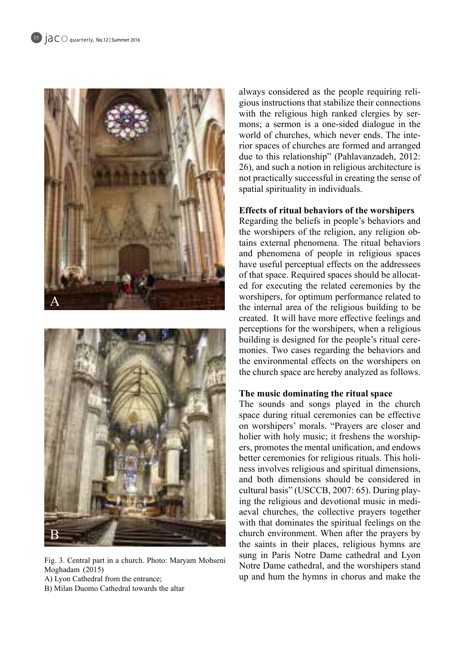



Fig. 3. Central part in a church. Photo: Maryam Mohseni (2015) Moghadam

A) Lyon Cathedral from the entrance;

B) Milan Duomo Cathedral towards the altar

gious instructions that stabilize their connections always considered as the people requiring relimons; a sermon is a one-sided dialogue in the with the religious high ranked clergies by serrior spaces of churches are formed and arranged world of churches, which never ends. The intedue to this relationship" (Pahlavanzadeh, 2012:  $26$ ), and such a notion in religious architecture is not practically successful in creating the sense of spatial spirituality in individuals.

# **Effects of ritual behaviors of the worshipers**

Regarding the beliefs in people's behaviors and tains external phenomena. The ritual behaviors the worshipers of the religion, any religion oband phenomena of people in religious spaces have useful perceptual effects on the addressees ed for executing the related ceremonies by the of that space. Required spaces should be allocatworshipers, for optimum performance related to the internal area of the religious building to be created. It will have more effective feelings and perceptions for the worshipers, when a religious monies. Two cases regarding the behaviors and building is designed for the people's ritual cerethe environmental effects on the worshipers on the church space are hereby analyzed as follows.

# The music dominating the ritual space

The sounds and songs played in the church space during ritual ceremonies can be effective on worshipers' morals. "Prayers are closer and ers, promotes the mental unification, and endows holier with holy music; it freshens the worshipness involves religious and spiritual dimensions, better ceremonies for religious rituals. This holiand both dimensions should be considered in aeval churches, the collective prayers together ing the religious and devotional music in medicultural basis" (USCCB, 2007: 65). During playwith that dominates the spiritual feelings on the church environment. When after the prayers by the saints in their places, religious hymns are sung in Paris Notre Dame cathedral and Lyon Notre Dame cathedral, and the worshipers stand up and hum the hymns in chorus and make the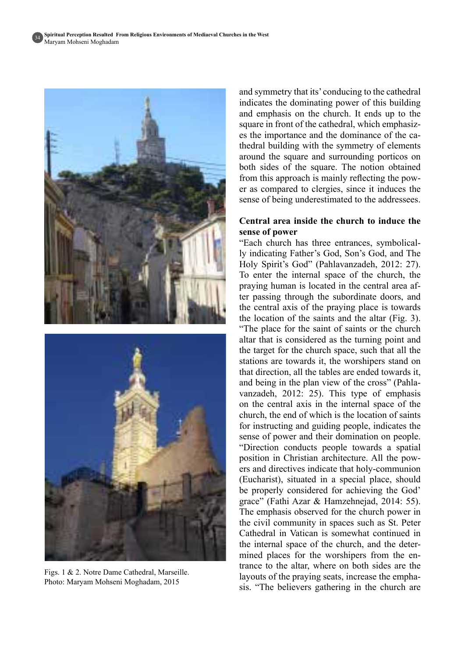

Figs.  $1 \& 2$ . Notre Dame Cathedral, Marseille. Photo: Maryam Mohseni Moghadam, 2015

and symmetry that its' conducing to the cathedral indicates the dominating power of this building and emphasis on the church. It ends up to the es the importance and the dominance of the cathedral-building with the symmetry of elements square in front of the cathedral, which emphasizes the importance and the dominance of the caaround the square and surrounding porticos on both sides of the square. The notion obtained er as compared to clergies, since it induces the from this approach is mainly reflecting the powsense of being underestimated to the addressees.

### **Central area inside the church to induce the** sense of power

ly indicating Father's God, Son's God, and The "Each church has three entrances, symbolical-Holy Spirit's God" (Pahlavanzadeh, 2012: 27). To enter the internal space of the church, the ter passing through the subordinate doors, and praying human is located in the central area afthe central axis of the praying place is towards the location of the saints and the altar  $(Fig. 3)$ .

"The place for the saint of saints or the church" altar that is considered as the turning point and the target for the church space, such that all the stations are towards it, the worshipers stand on that direction, all the tables are ended towards it. vanzadeh, 2012: 25). This type of emphasis and being in the plan view of the cross" (Pahlaon the central axis in the internal space of the church, the end of which is the location of saints for instructing and guiding people, indicates the sense of power and their domination on people. "Direction conducts people towards a spatial position in Christian architecture. All the powers and directives indicate that holy-communion (Eucharist), situated in a special place, should be properly considered for achieving the God' grace" (Fathi Azar & Hamzehnejad, 2014: 55). The emphasis observed for the church power in the civil community in spaces such as St. Peter Cathedral in Vatican is somewhat continued in trance to the altar, where on both sides are the mined places for the worshipers from the enthe internal space of the church, and the detersis. "The believers gathering in the church are layouts of the praying seats, increase the empha-

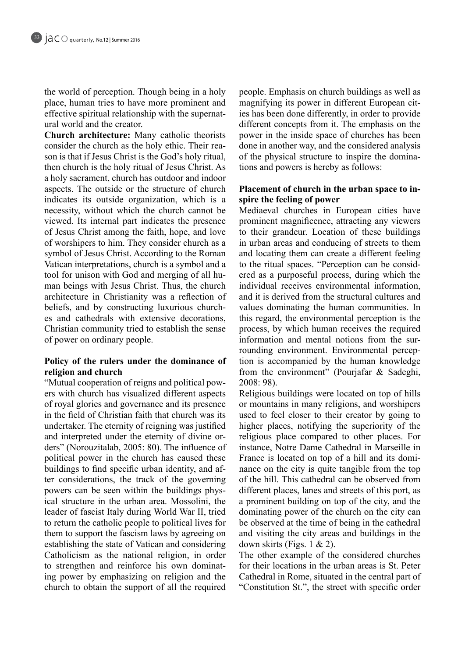the world of perception. Though being in a holy place, human tries to have more prominent and effective spiritual relationship with the supernat-<br>ural-world and the creator.

**Church architecture:** Many catholic theorists son is that if Jesus Christ is the God's holy ritual, consider the church as the holy ethic. Their reathen church is the holy ritual of Jesus Christ. As a holy sacrament, church has outdoor and indoor aspects. The outside or the structure of church indicates its outside organization, which is a necessity, without which the church cannot be viewed. Its internal part indicates the presence of Jesus Christ among the faith, hope, and love of worshipers to him. They consider church as a symbol of Jesus Christ. According to the Roman Vatican interpretations, church is a symbol and a man beings with Jesus Christ. Thus, the church tool for unison with God and merging of all huarchitecture in Christianity was a reflection of es and cathedrals with extensive decorations, beliefs, and by constructing luxurious church-Christian community tried to establish the sense of power on ordinary people.

# Policy of the rulers under the dominance of religion and church

ers with church has visualized different aspects "Mutual cooperation of reigns and political powof royal glories and governance and its presence in the field of Christian faith that church was its undertaker. The eternity of reigning was justified. ders" (Norouzitalab, 2005: 80). The influence of and interpreted under the eternity of divine orpolitical power in the church has caused these buildings to find specific urban identity, and after considerations, the track of the governing powers can be seen within the buildings physical structure in the urban area. Mossolini, the leader of fascist Italy during World War II, tried to return the catholic people to political lives for them to support the fascism laws by agreeing on establishing the state of Vatican and considering Catholicism as the national religion, in order to strengthen and reinforce his own dominating power by emphasizing on religion and the church to obtain the support of all the required

people. Emphasis on church buildings as well as magnifying its power in different European cities has been done differently, in order to provide different concepts from it. The emphasis on the power in the inside space of churches has been done in another way, and the considered analysis of the physical structure to inspire the dominations and powers is hereby as follows:

# Placement of church in the urban space to inspire the feeling of power

Mediaeval churches in European cities have prominent magnificence, attracting any viewers to their grandeur. Location of these buildings in urban areas and conducing of streets to them and locating them can create a different feeling ered as a purposeful process, during which the to the ritual spaces. "Perception can be considindividual receives environmental information, and it is derived from the structural cultures and values dominating the human communities. In this regard, the environmental perception is the process, by which human receives the required tion is accompanied by the human knowledge rounding environment. Environmental percepinformation and mental notions from the surfrom the environment" (Pourjafar  $\&$  Sadeghi,  $2008:98$ .

Religious buildings were located on top of hills or mountains in many religions, and worshipers used to feel closer to their creator by going to higher places, notifying the superiority of the religious place compared to other places. For instance, Notre Dame Cathedral in Marseille in nance on the city is quite tangible from the top France is located on top of a hill and its domiof the hill. This cathedral can be observed from different places, lanes and streets of this port, as a prominent building on top of the city, and the dominating power of the church on the city can be observed at the time of being in the cathedral and visiting the city areas and buildings in the down skirts (Figs.  $1 \& 2$ ).

The other example of the considered churches for their locations in the urban areas is St. Peter Cathedral in Rome, situated in the central part of "Constitution St.", the street with specific order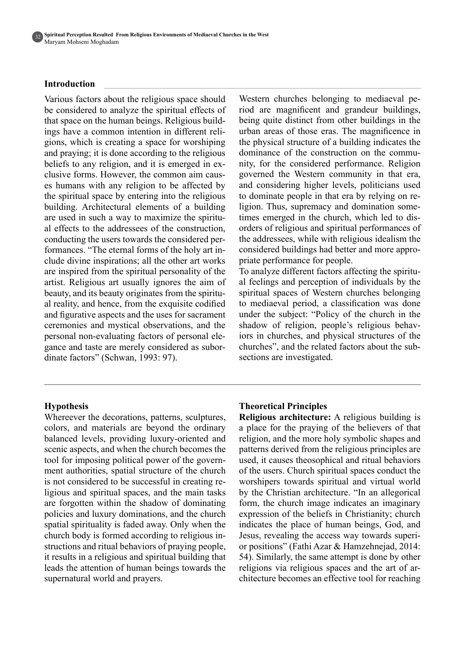

#### **Introduction**

Various factors about the religious space should be considered to analyze the spiritual effects of ings have a common intention in different religions, which is creating a space for worshiping that space on the human beings. Religious buildings have a common intention in different relithat space on the human beings. Religious buildand praying; it is done according to the religious clusive forms. However, the common aim causes humans with any religion to be affected by beliefs to any religion, and it is emerged in ex-<br>clusive forms. However, the common aim causthe spiritual space by entering into the religious building. Architectural elements of a building. al effects to the addressees of the construction, are used in such a way to maximize the spirituclude divine inspirations; all the other art works formances. "The eternal forms of the holy art inconducting the users towards the considered perare inspired from the spiritual personality of the artist. Religious art usually ignores the aim of beauty, and its beauty originates from the spiritu-<br>al-reality, and hence, from the exquisite codified and figurative aspects and the uses for sacrament ceremonies and mystical observations, and the gance and taste are merely considered as subor-<br>dinate factors" (Schwan, 1993: 97). personal non-evaluating factors of personal elegance and taste are merely considered as suborpersonal non-evaluating factors of personal eleriod are magnificent and grandeur buildings, Western churches belonging to mediaeval pebeing quite distinct from other buildings in the urban areas of those eras. The magnificence in the physical structure of a building indicates the nity, for the considered performance. Religion dominance of the construction on the commugoverned the Western community in that era, and considering higher levels, politicians used times emerged in the church, which led to dis-<br>orders of religious and spiritual performances of ligion. Thus, supremacy and domination some-<br>times emerged in the church, which led to disto dominate people in that era by relying on religion. Thus, supremacy and domination somethe addressees, while with religious idealism the considered buildings had better and more appro-<br>priate performance for people.

al feelings and perception of individuals by the To analyze different factors affecting the spirituspiritual spaces of Western churches belonging to mediaeval period, a classification was done under the subject: "Policy of the church in the the iors in churches, and physical structures of the shadow of religion, people's religious behavchurches", and the related factors about the subsections are investigated.

#### **Hypothesis**

Whereever the decorations, patterns, sculptures, colors, and materials are beyond the ordinary balanced levels, providing luxury-oriented and scenic aspects, and when the church becomes the tool for imposing political power of the govern-<br>ment authorities, spatial structure of the church is not considered to be successful in creating re-<br>ligious and spiritual spaces, and the main tasks are forgotten within the shadow of dominating policies and luxury dominations, and the church spatial spirituality is faded away. Only when the structions and ritual behaviors of praying people, church body is formed according to religious init results in a religious and spiritual building that leads the attention of human beings towards the supernatural world and prayers.

#### **Theoretical Principles**

**Religious architecture:** A religious building is a place for the praying of the believers of that religion, and the more holy symbolic shapes and patterns derived from the religious principles are used, it causes theosophical and ritual behaviors of the users. Church spiritual spaces conduct the worshipers towards spiritual and virtual world by the Christian architecture. "In an allegorical form, the church image indicates an imaginary expression of the beliefs in Christianity; church indicates the place of human beings, God, and or positions" (Fathi Azar & Hamzehnejad, 2014: Jesus, revealing the access way towards superi-54). Similarly, the same attempt is done by other chitecture becomes an effective tool for reaching religions via religious spaces and the art of ar-